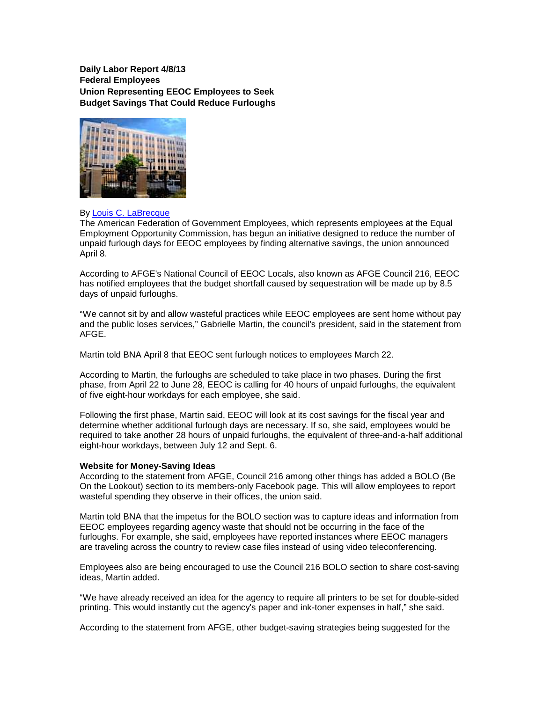**Daily Labor Report 4/8/13 Federal Employees Union Representing EEOC Employees to Seek Budget Savings That Could Reduce Furloughs**



## By Louis C. LaBrecque

The American Federation of Government Employees, which represents employees at the Equal Employment Opportunity Commission, has begun an initiative designed to reduce the number of unpaid furlough days for EEOC employees by finding alternative savings, the union announced April 8.

According to AFGE's National Council of EEOC Locals, also known as AFGE Council 216, EEOC has notified employees that the budget shortfall caused by sequestration will be made up by 8.5 days of unpaid furloughs.

"We cannot sit by and allow wasteful practices while EEOC employees are sent home without pay and the public loses services," Gabrielle Martin, the council's president, said in the statement from AFGE.

Martin told BNA April 8 that EEOC sent furlough notices to employees March 22.

According to Martin, the furloughs are scheduled to take place in two phases. During the first phase, from April 22 to June 28, EEOC is calling for 40 hours of unpaid furloughs, the equivalent of five eight-hour workdays for each employee, she said.

Following the first phase, Martin said, EEOC will look at its cost savings for the fiscal year and determine whether additional furlough days are necessary. If so, she said, employees would be required to take another 28 hours of unpaid furloughs, the equivalent of three-and-a-half additional eight-hour workdays, between July 12 and Sept. 6.

## **Website for Money-Saving Ideas**

According to the statement from AFGE, Council 216 among other things has added a BOLO (Be On the Lookout) section to its members-only Facebook page. This will allow employees to report wasteful spending they observe in their offices, the union said.

Martin told BNA that the impetus for the BOLO section was to capture ideas and information from EEOC employees regarding agency waste that should not be occurring in the face of the furloughs. For example, she said, employees have reported instances where EEOC managers are traveling across the country to review case files instead of using video teleconferencing.

Employees also are being encouraged to use the Council 216 BOLO section to share cost-saving ideas, Martin added.

"We have already received an idea for the agency to require all printers to be set for double-sided printing. This would instantly cut the agency's paper and ink-toner expenses in half," she said.

According to the statement from AFGE, other budget-saving strategies being suggested for the